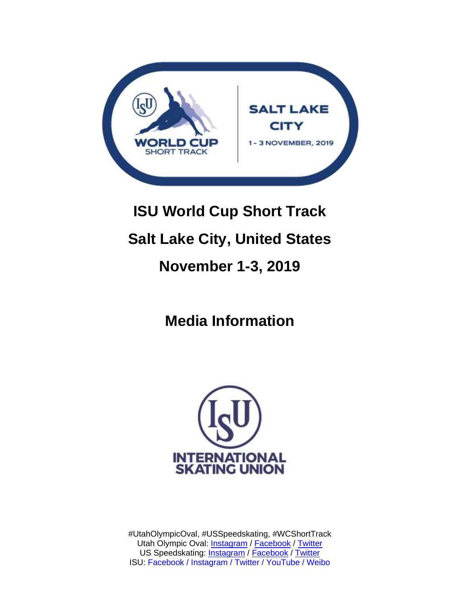

# **ISU World Cup Short Track Salt Lake City, United States November 1-3, 2019**

**Media Information**



#UtahOlympicOval, #USSpeedskating, #WCShortTrack Utah Olympic Oval: **Instagram / [Facebook](https://www.facebook.com/UtahOlympicOval/) / [Twitter](https://twitter.com/utaholympicoval?lang=en)** US Speedskating: **[Instagram](https://www.instagram.com/usspeedskating/?hl=en) / [Facebook](https://www.facebook.com/USSpeedskating/) / [Twitter](https://twitter.com/USSpeedskating?ref_src=twsrc%5Egoogle%7Ctwcamp%5Eserp%7Ctwgr%5Eauthor)** ISU: Facebook / Instagram / Twitter / YouTube / Weibo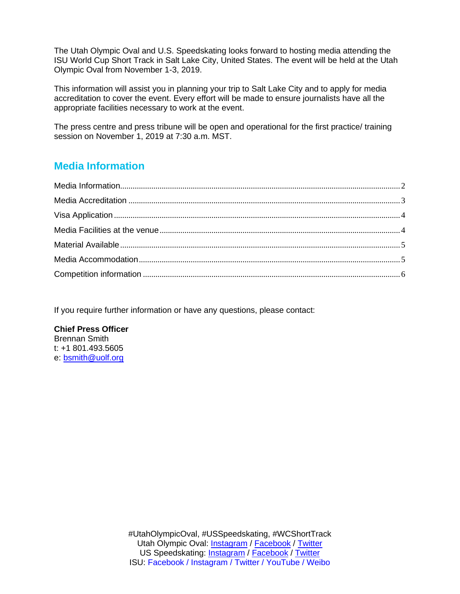The Utah Olympic Oval and U.S. Speedskating looks forward to hosting media attending the ISU World Cup Short Track in Salt Lake City, United States. The event will be held at the Utah Olympic Oval from November 1-3, 2019.

This information will assist you in planning your trip to Salt Lake City and to apply for media accreditation to cover the event. Every effort will be made to ensure journalists have all the appropriate facilities necessary to work at the event.

The press centre and press tribune will be open and operational for the first practice/ training session on November 1, 2019 at 7:30 a.m. MST.

# <span id="page-1-0"></span>**Media Information**

If you require further information or have any questions, please contact:

#### **Chief Press Officer**

Brennan Smith t: +1 801.493.5605 e: [bsmith@uolf.org](mailto:bsmith@uolf.org)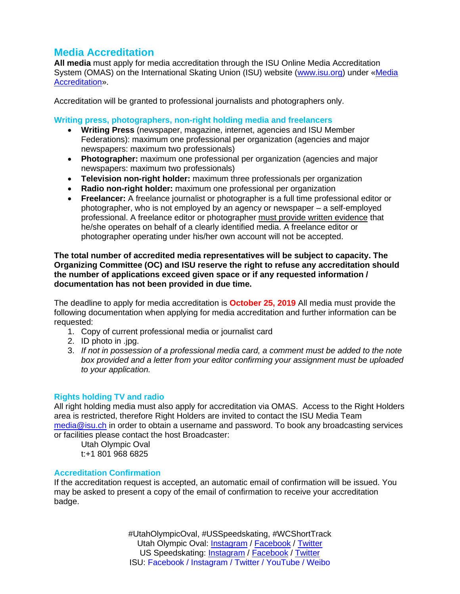# <span id="page-2-0"></span>**Media Accreditation**

**All media** must apply for media accreditation through the ISU Online Media Accreditation System (OMAS) on the International Skating Union (ISU) website [\(www.isu.org\)](http://www.isu.org/) under [«Media](https://www.isu.org/media-accreditation)  [Accreditation»](https://www.isu.org/media-accreditation).

Accreditation will be granted to professional journalists and photographers only.

#### **Writing press, photographers, non-right holding media and freelancers**

- **Writing Press** (newspaper, magazine, internet, agencies and ISU Member Federations): maximum one professional per organization (agencies and major newspapers: maximum two professionals)
- **Photographer:** maximum one professional per organization (agencies and major newspapers: maximum two professionals)
- **Television non-right holder:** maximum three professionals per organization
- **Radio non-right holder:** maximum one professional per organization
- **Freelancer:** A freelance journalist or photographer is a full time professional editor or photographer, who is not employed by an agency or newspaper – a self-employed professional. A freelance editor or photographer must provide written evidence that he/she operates on behalf of a clearly identified media. A freelance editor or photographer operating under his/her own account will not be accepted.

#### **The total number of accredited media representatives will be subject to capacity. The Organizing Committee (OC) and ISU reserve the right to refuse any accreditation should the number of applications exceed given space or if any requested information / documentation has not been provided in due time.**

The deadline to apply for media accreditation is **October 25, 2019** All media must provide the following documentation when applying for media accreditation and further information can be requested:

- 1. Copy of current professional media or journalist card
- 2. ID photo in .jpg.
- 3. *If not in possession of a professional media card, a comment must be added to the note box provided and a letter from your editor confirming your assignment must be uploaded to your application.*

#### **Rights holding TV and radio**

All right holding media must also apply for accreditation via OMAS. Access to the Right Holders area is restricted, therefore Right Holders are invited to contact the ISU Media Team [media@isu.ch](mailto:media@isu.ch) in order to obtain a username and password. To book any broadcasting services or facilities please contact the host Broadcaster:

Utah Olympic Oval t:+1 801 968 6825

#### **Accreditation Confirmation**

If the accreditation request is accepted, an automatic email of confirmation will be issued. You may be asked to present a copy of the email of confirmation to receive your accreditation badge.

> #UtahOlympicOval, #USSpeedskating, #WCShortTrack Utah Olympic Oval: [Instagram](https://www.instagram.com/utaholympicoval/?hl=en) / [Facebook](https://www.facebook.com/UtahOlympicOval/) / [Twitter](https://twitter.com/utaholympicoval?lang=en) US Speedskating: [Instagram](https://www.instagram.com/usspeedskating/?hl=en) / [Facebook](https://www.facebook.com/USSpeedskating/) / [Twitter](https://twitter.com/USSpeedskating?ref_src=twsrc%5Egoogle%7Ctwcamp%5Eserp%7Ctwgr%5Eauthor) ISU: Facebook / Instagram / Twitter / YouTube / Weibo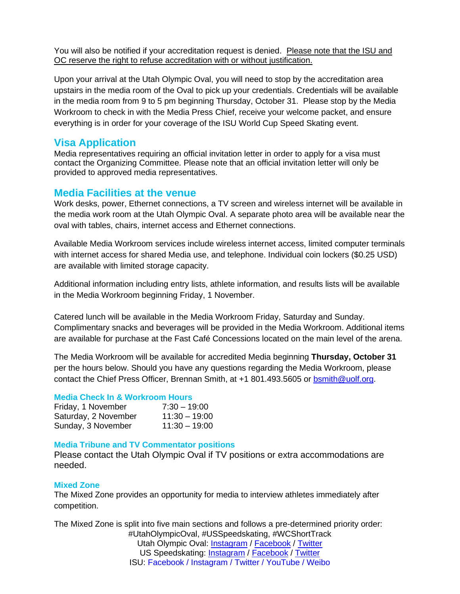You will also be notified if your accreditation request is denied. Please note that the ISU and OC reserve the right to refuse accreditation with or without justification.

Upon your arrival at the Utah Olympic Oval, you will need to stop by the accreditation area upstairs in the media room of the Oval to pick up your credentials. Credentials will be available in the media room from 9 to 5 pm beginning Thursday, October 31. Please stop by the Media Workroom to check in with the Media Press Chief, receive your welcome packet, and ensure everything is in order for your coverage of the ISU World Cup Speed Skating event.

## <span id="page-3-0"></span>**Visa Application**

Media representatives requiring an official invitation letter in order to apply for a visa must contact the Organizing Committee. Please note that an official invitation letter will only be provided to approved media representatives.

## <span id="page-3-1"></span>**Media Facilities at the venue**

Work desks, power, Ethernet connections, a TV screen and wireless internet will be available in the media work room at the Utah Olympic Oval. A separate photo area will be available near the oval with tables, chairs, internet access and Ethernet connections.

Available Media Workroom services include wireless internet access, limited computer terminals with internet access for shared Media use, and telephone. Individual coin lockers (\$0.25 USD) are available with limited storage capacity.

Additional information including entry lists, athlete information, and results lists will be available in the Media Workroom beginning Friday, 1 November.

Catered lunch will be available in the Media Workroom Friday, Saturday and Sunday. Complimentary snacks and beverages will be provided in the Media Workroom. Additional items are available for purchase at the Fast Café Concessions located on the main level of the arena.

The Media Workroom will be available for accredited Media beginning **Thursday, October 31** per the hours below. Should you have any questions regarding the Media Workroom, please contact the Chief Press Officer, Brennan Smith, at +1 801.493.5605 or [bsmith@uolf.org.](mailto:bsmith@uolf.org)

#### **Media Check In & Workroom Hours**

| Friday, 1 November   | $7:30 - 19:00$  |
|----------------------|-----------------|
| Saturday, 2 November | $11:30 - 19:00$ |
| Sunday, 3 November   | $11:30 - 19:00$ |

#### **Media Tribune and TV Commentator positions**

Please contact the Utah Olympic Oval if TV positions or extra accommodations are needed.

#### **Mixed Zone**

The Mixed Zone provides an opportunity for media to interview athletes immediately after competition.

#UtahOlympicOval, #USSpeedskating, #WCShortTrack Utah Olympic Oval: **Instagram / [Facebook](https://www.facebook.com/UtahOlympicOval/) / [Twitter](https://twitter.com/utaholympicoval?lang=en)** US Speedskating: **[Instagram](https://www.instagram.com/usspeedskating/?hl=en) / [Facebook](https://www.facebook.com/USSpeedskating/) / [Twitter](https://twitter.com/USSpeedskating?ref_src=twsrc%5Egoogle%7Ctwcamp%5Eserp%7Ctwgr%5Eauthor)** ISU: Facebook / Instagram / Twitter / YouTube / Weibo The Mixed Zone is split into five main sections and follows a pre-determined priority order: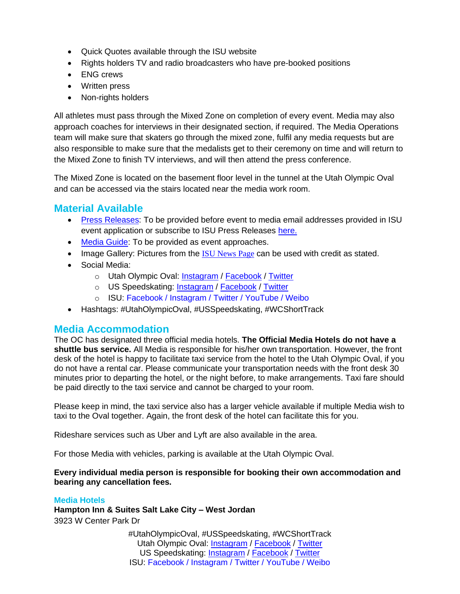- Quick Quotes available through the ISU website
- Rights holders TV and radio broadcasters who have pre-booked positions
- ENG crews
- Written press
- Non-rights holders

All athletes must pass through the Mixed Zone on completion of every event. Media may also approach coaches for interviews in their designated section, if required. The Media Operations team will make sure that skaters go through the mixed zone, fulfil any media requests but are also responsible to make sure that the medalists get to their ceremony on time and will return to the Mixed Zone to finish TV interviews, and will then attend the press conference.

The Mixed Zone is located on the basement floor level in the tunnel at the Utah Olympic Oval and can be accessed via the stairs located near the media work room.

## <span id="page-4-0"></span>**Material Available**

- [Press Releases:](https://www.isu.org/media-centre/press-releases) To be provided before event to media email addresses provided in ISU event application or subscribe to ISU Press Releases [here](https://isu.org/media-centre/mailing-lists/newsletter).
- [Media Guide:](https://www.isu.org/media-centre/guides/media) To be provided as event approaches.
- Image Gallery: Pictures from the **[ISU News Page](https://www.isu.org/isu-news/news) can be used with credit as stated.**
- Social Media:
	- o Utah Olympic Oval: [Instagram](https://www.instagram.com/utaholympicoval/?hl=en) / [Facebook](https://www.facebook.com/UtahOlympicOval/) / [Twitter](https://twitter.com/utaholympicoval?lang=en)
	- o US Speedskating: [Instagram](https://www.instagram.com/usspeedskating/?hl=en) / [Facebook](https://www.facebook.com/USSpeedskating/) / [Twitter](https://twitter.com/USSpeedskating?ref_src=twsrc%5Egoogle%7Ctwcamp%5Eserp%7Ctwgr%5Eauthor)
	- o ISU: Facebook / Instagram / Twitter / YouTube / Weibo
- Hashtags: #UtahOlympicOval, #USSpeedskating, #WCShortTrack

## <span id="page-4-1"></span>**Media Accommodation**

The OC has designated three official media hotels. **The Official Media Hotels do not have a shuttle bus service.** All Media is responsible for his/her own transportation. However, the front desk of the hotel is happy to facilitate taxi service from the hotel to the Utah Olympic Oval, if you do not have a rental car. Please communicate your transportation needs with the front desk 30 minutes prior to departing the hotel, or the night before, to make arrangements. Taxi fare should be paid directly to the taxi service and cannot be charged to your room.

Please keep in mind, the taxi service also has a larger vehicle available if multiple Media wish to taxi to the Oval together. Again, the front desk of the hotel can facilitate this for you.

Rideshare services such as Uber and Lyft are also available in the area.

For those Media with vehicles, parking is available at the Utah Olympic Oval.

#### **Every individual media person is responsible for booking their own accommodation and bearing any cancellation fees.**

## **Media Hotels**

**Hampton Inn & Suites Salt Lake City – West Jordan** 3923 W Center Park Dr

> #UtahOlympicOval, #USSpeedskating, #WCShortTrack Utah Olympic Oval: **Instagram / [Facebook](https://www.facebook.com/UtahOlympicOval/) / [Twitter](https://twitter.com/utaholympicoval?lang=en)** US Speedskating: [Instagram](https://www.instagram.com/usspeedskating/?hl=en) / [Facebook](https://www.facebook.com/USSpeedskating/) / [Twitter](https://twitter.com/USSpeedskating?ref_src=twsrc%5Egoogle%7Ctwcamp%5Eserp%7Ctwgr%5Eauthor) ISU: Facebook / Instagram / Twitter / YouTube / Weibo